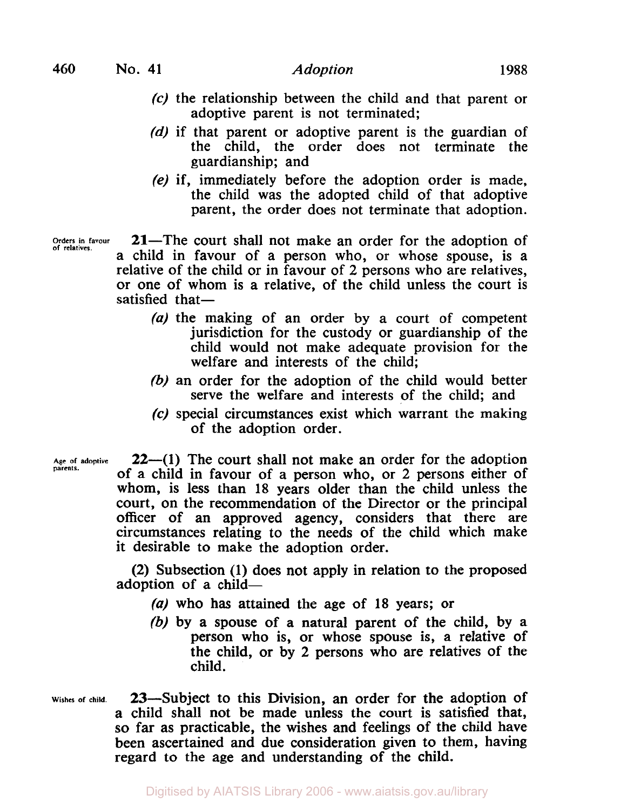- **(c)** the relationship between the child and that parent or adoptive parent is not terminated;
- *(d)* if that parent or adoptive parent is the guardian of the child, the order does not terminate the guardianship; and
- **(e)** if, immediately before the adoption order is made, the child was the adopted child of that adoptive parent, the order does not terminate that adoption.

Orders in favour<br>of relatives.

**21**-The court shall not make an order for the adoption of a child in favour of a person who, or whose spouse, is a relative of the child or in favour of 2 persons who are relatives, or one of whom is a relative, of the child unless the court is satisfied that $-$ 

- (a) the making of an order by a court of competent jurisdiction for the custody or guardianship of the child would not make adequate provision for the welfare and interests of the child;
- (b) an order for the adoption of the child would better serve the welfare and interests of the child; and
- *(c)* special circumstances exist which warrant the making of the adoption order.

Age of adoptive<br>parents.

**22—(1)** The court shall not make an order for the adoption of a child in favour of a person who, or 2 persons either of whom, is less than 18 years older than the child unless the court, on the recommendation of the Director or the principal officer of an approved agency, considers that there are circumstances relating to the needs of the child which make it desirable to make the adoption order.

(2) Subsection (1) does not apply in relation to the proposed adoption of a child-

- (a) who has attained the age of 18 years; or
- (b) by a spouse of a natural parent of the child, by a person who is, or whose spouse is, a relative of the child, or by 2 persons who are relatives of the child.
- **Wishes of child.** 23-Subject to this Division, an order for the adoption Of a child shall not be made unless the court is satisfied that, **so** far as practicable, the wishes and feelings of the child have been ascertained and due consideration given to them, having regard to the age and understanding of the child.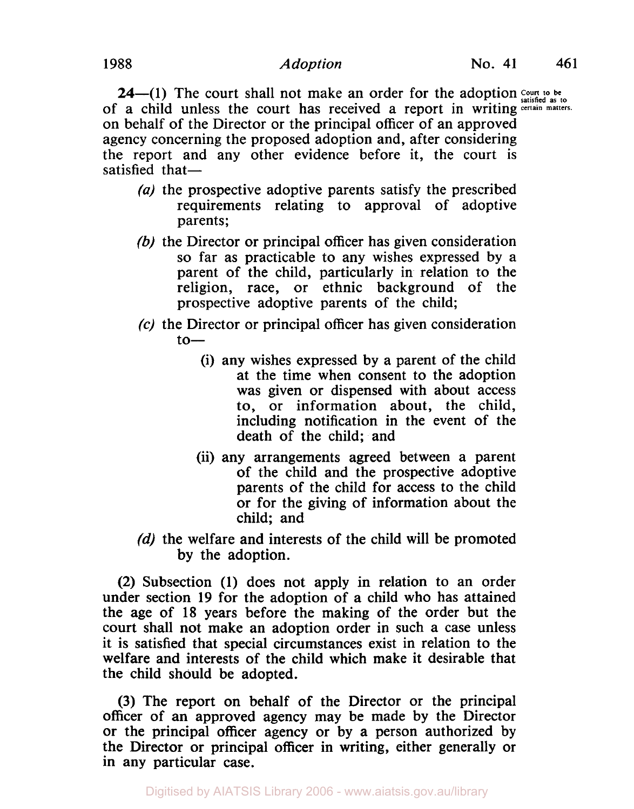**24–(1)** The court shall not make an order for the adoption  $\frac{Count}{s}$  be of a child unless the court has received a report in writing certain **matters.**  on behalf of the Director or the principal officer of an approved agency concerning the proposed adoption and, after considering the report and any other evidence before it, the court is satisfied that $-$ 

- (a) the prospective adoptive parents satisfy the prescribed requirements relating to approval of adoptive parents;
- (b) the Director or principal officer has given consideration so far as practicable to any wishes expressed by a parent of the child, particularly in relation to the religion, race, or ethnic background of the prospective adoptive parents of the child;
- **(c)** the Director or principal officer has given consideration  $to-$ 
	- (i) any wishes expressed by a parent of the child at the time when consent to the adoption was given or dispensed with about access to, or information about, the child, including notification in the event of the death of the child; and
	- (ii) any arrangements agreed between a parent of the child and the prospective adoptive parents of the child for access to the child or for the giving of information about the child; and
- (d) the welfare and interests of the child will be promoted by the adoption.

(2) Subsection **(1)** does not apply in relation to an order under section **19** for the adoption of a child who has attained the age of **18** years before the making of the order but the court shall not make an adoption order in such a case unless it is satisfied that special circumstances exist in relation to the welfare and interests of the child which make it desirable that the child should be adopted.

(3) The report on behalf of the Director or the principal officer of an approved agency may be made by the Director or the principal officer agency or by a person authorized by the Director or principal officer in writing, either generally or in any particular case.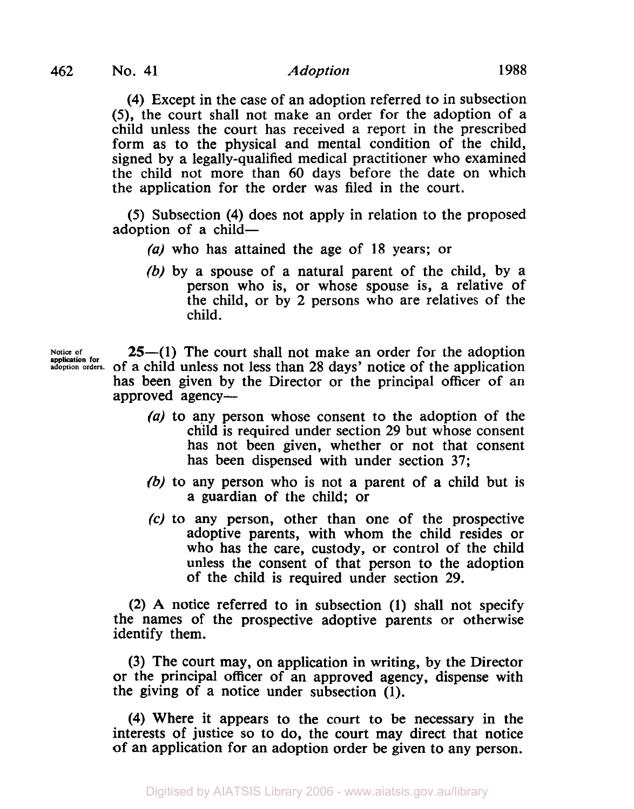**application for** 

## **462** No. **41** Adoption 1988

**(4)** Except in the case of an adoption referred to in subsection **(5),** the court shall not make an order for the adoption of a child unless the court has received a report in the prescribed form as to the physical and mental condition of the child, signed by a legally-qualified medical practitioner who examined the child not more than **60** days before the date on which the application for the order was filed in the court.

**(5)** Subsection **(4)** does not apply in relation to the proposed adoption of a child-

- *(a)* who has attained the age of **18** years; or
- (b) by a spouse of a natural parent of the child, by a person who is, or whose spouse is, a relative of the child, or by 2 persons who are relatives of the child.

**25—(1)** The court shall not make an order for the adoption **adoption orders.** of a child unless not less than 28 days' notice of the application has been given by the Director or the principal officer of an approved agency-

- *(a)* to any person whose consent to the adoption of the child is required under section 29 but whose consent has not been given, whether or not that consent has been dispensed with under section 37;
- (b) to any person who is not a parent of a child but is a guardian of the child; or
- **(c)** to any person, other than one of the prospective adoptive parents, with whom the child resides or who has the care, custody, or control of the child unless the consent of that person to the adoption of the child is required under section 29.

(2) A notice referred to in subsection **(1)** shall not specify the names of the prospective adoptive parents or otherwise identify them.

(3) The court may, on application in writing, by the Director or the principal officer of an approved agency, dispense with the giving of a notice under subsection **(1).** 

**(4)** Where it appears to the court to be necessary in the interests of justice so to do, the court may direct that notice of an application for an adoption order be given to any person.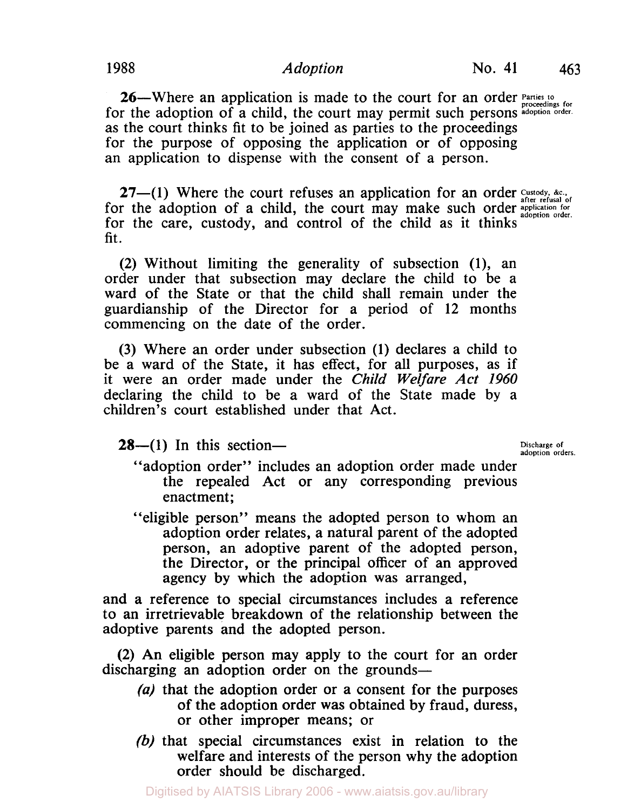**26**—Where an application is made to the court for an order *Parties* to for the adoption of a child, the court may permit such persons adoption order. as the court thinks fit to be joined as parties to the proceedings for the purpose of opposing the application or of opposing an application to dispense with the consent of a person.

27-(1) Where the court refuses an application for an order Custody, &c., **application for** for the adoption of a child, the court may make such order **adoption order.**  for the care, custody, and control of the child as it thinks fit.

(2) Without limiting the generality of subsection (1), an order under that subsection may declare the child to be a ward of the State or that the child shall remain under the guardianship of the Director for a period of 12 months commencing on the date of the order.

(3) Where an order under subsection (1) declares a child to be a ward of the State, it has effect, for all purposes, as if it were an order made under the Child *Welfare Act* 1960 declaring the child to be a ward of the State made by a children's court established under that Act.

**28**—(1) In this section—<br>adoption orders.

- "adoption order" includes an adoption order made under the repealed Act or any corresponding previous enactment;
- "eligible person" means the adopted person to whom an adoption order relates, a natural parent of the adopted person, an adoptive parent of the adopted person, the Director, or the principal officer of an approved agency by which the adoption was arranged,

and a reference to special circumstances includes a reference to an irretrievable breakdown of the relationship between the adoptive parents and the adopted person.

(2) An eligible person may apply to the court for an order discharging an adoption order on the grounds-

- *(a)* that the adoption order or a consent for the purposes of the adoption order was obtained by fraud, duress, or other improper means; or
- (b) that special circumstances exist in relation to the welfare and interests of the person why the adoption order should be discharged.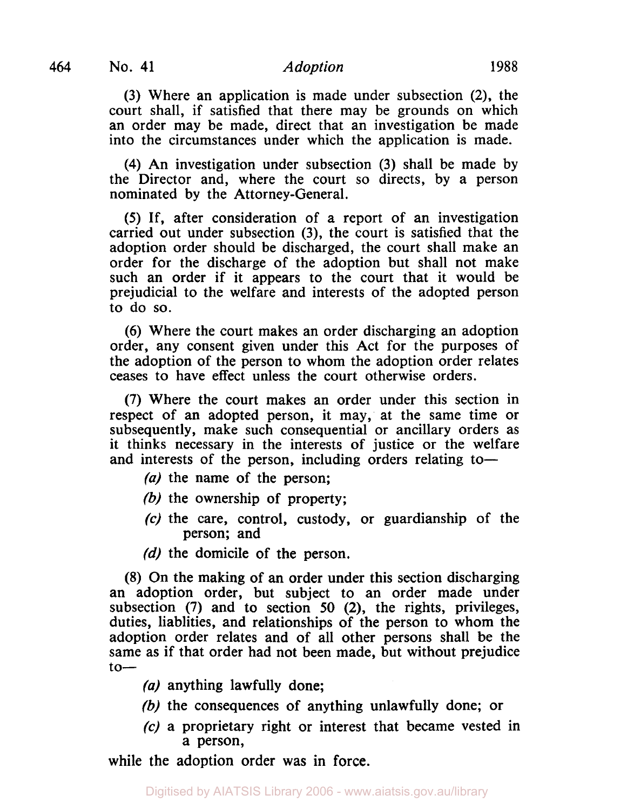(3) Where an application is made under subsection (2), the court shall, if satisfied that there may be grounds on which an order may be made, direct that an investigation be made into the circumstances under which the application is made.

**(4)** An investigation under subsection (3) shall be made by the Director and, where the court so directs, by a person nominated by the Attorney-General.

*(5)* If, after consideration of a report of an investigation carried out under subsection **(3),** the court is satisfied that the adoption order should be discharged, the court shall make an order for the discharge of the adoption but shall not make such an order if it appears to the court that it would be prejudicial to the welfare and interests of the adopted person to do so.

(6) Where the court makes an order discharging an adoption order, any consent given under this Act for the purposes of the adoption of the person to whom the adoption order relates ceases to have effect unless the court otherwise orders.

(7) Where the court makes an order under this section in respect of an adopted person, it may, at the same time or subsequently, make such consequential or ancillary orders as it thinks necessary in the interests of justice or the welfare and interests of the person, including orders relating to-

- (a) the name of the person;
- *(b)* the ownership of property;
- **(c)** the care, control, custody, or guardianship of the person; and
- (d) the domicile of the person.

(8) On the making of an order under this section discharging an adoption order, but subject to an order made under subsection (7) and to section *50* **(2),** the rights, privileges, duties, liablities, and relationships of the person to whom the adoption order relates and of all other persons shall be the same as if that order had not been made, but without prejudice  $to-$ 

- (a) anything lawfully done;
- (b) the consequences of anything unlawfully done; or
- **(c)** a proprietary right or interest that became vested in a person,

while the adoption order was in force.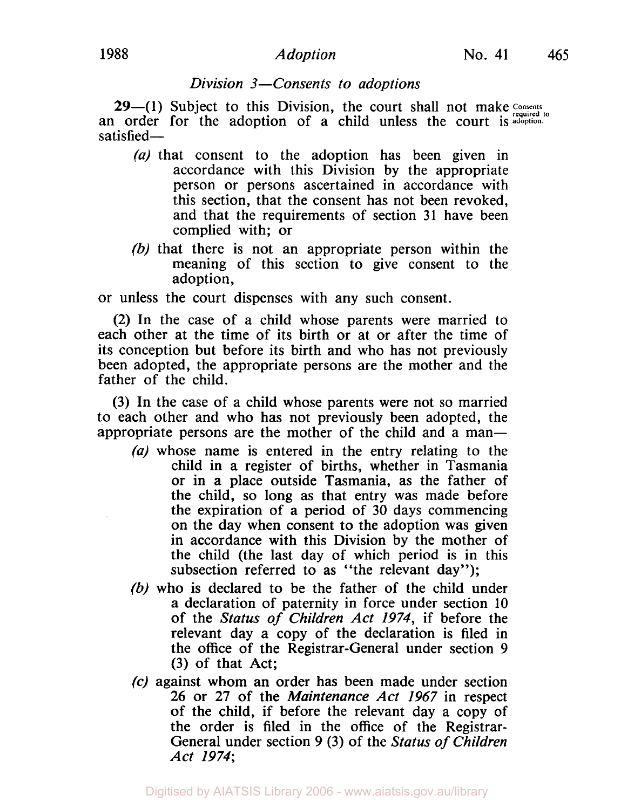### *Division 3-Consents to adoptions*

**29-(1)** Subject to this Division, the court shall not make Consents an order for the adoption of a child unless the court is adoption. satisfied-

- *(a)* that consent to the adoption has been given in accordance with this Division by the appropriate person or persons ascertained in accordance with this section, that the consent has not been revoked, and that the requirements of section **31** have been complied with; or
- *(b)* that there is not an appropriate person within the meaning of this section to give consent to the adoption,

or unless the court dispenses with any such consent.

**(2)** In the case of a child whose parents were married to each other at the time of its birth or at or after the time of its conception but before its birth and who has not previously been adopted, the appropriate persons are the mother and the father of the child.

**(3)** In the case of a child whose parents were not so married to each other and who has not previously been adopted, the appropriate persons are the mother of the child and a man-

- *(a)* whose name is entered in the entry relating to the child in a register of births, whether in Tasmania or in a place outside Tasmania, as the father of the child, so long as that entry was made before the expiration of a period of **30** days commencing on the day when consent to the adoption was given in accordance with this Division by the mother of the child (the last day of which period is in this subsection referred to as "the relevant day");
- *(b)* who is declared to be the father of the child under a declaration of paternity in force under section **10**  of the *Status of Children Act 1974,* if before the relevant day a copy of the declaration is filed in the office of the Registrar-General under section **9 (3)** of that Act;
- *(c)* against whom an order has been made under section **26** or **27** of the *Maintenance Act 1967* in respect of the child, if before the relevant day a copy of the order is filed in the office of the Registrar-General under section **9** *(3)* of the *Status of Children Act 1974;*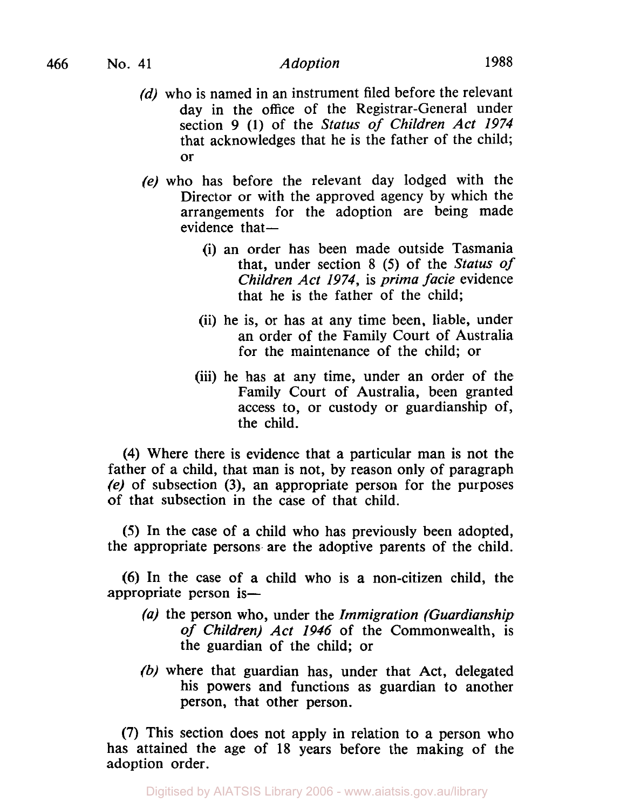- *(d)* who is named in an instrument filed before the relevant day in the office of the Registrar-General under section **9** (1) of the *Status of Children Act 1974*  that acknowledges that he is the father of the child; or
- *(e)* who has before the relevant day lodged with the Director or with the approved agency by which the arrangements for the adoption are being made  $e$ vidence that $-$ 
	- (i) an order has been made outside Tasmania that, under section 8 *(5)* of the *Status of Children Act 1974,* is *prima facie* evidence that he is the father of the child;
	- (ii) he is, or has at any time been, liable, under an order of the Family Court of Australia for the maintenance of the child; or
	- (iii) he has at any time, under an order of the Family Court of Australia, been granted access to, or custody or guardianship of, the child.

**(4)** Where there is evidence that a particular man is not the father of a child, that man is not, by reason only of paragraph **(e)** of subsection **(3),** an appropriate person for the purposes of that subsection in the case of that child.

*(5)* In the case of a child who has previously been adopted, the appropriate persons are the adoptive parents of the child.

**(6)** In the case of a child who is a non-citizen child, the appropriate person is-

- *(a)* the person who, under the *Immigration (Guardianship of Children) Act 1946* of the Commonwealth, is the guardian of the child; or
- (b) where that guardian has, under that Act, delegated his powers and functions as guardian to another person, that other person.

**(7)** This section does not apply in relation to a person who has attained the age of 18 years before the making of the adoption order.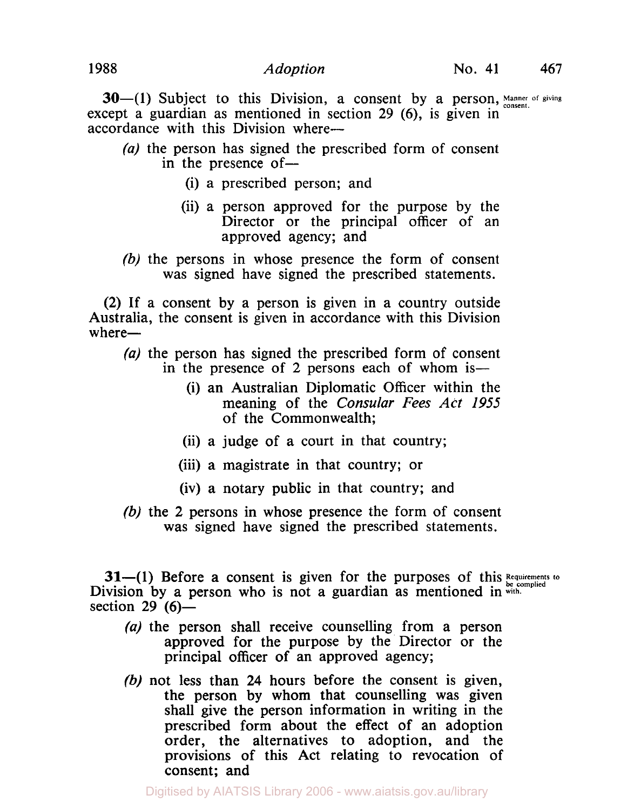**30-(1)** Subject to this Division, a consent by a person, Manner of giving except a guardian as mentioned in section **29 (6),** is given in accordance with this Division where-

- *(a)* the person has signed the prescribed form of consent in the presence of  $-$ 
	- (i) a prescribed person; and
	- (ii) a person approved for the purpose by the Director or the principal officer of an approved agency; and
- *(b)* the persons in whose presence the form of consent was signed have signed the prescribed statements.

**(2)** If a consent by a person is given in a country outside Australia, the consent is given in accordance with this Division where-

- *(a)* the person has signed the prescribed form of consent in the presence of 2 persons each of whom is-
	- (i) an Australian Diplomatic Officer within the meaning of the *Consular Fees Act 1955*  of the Commonwealth;
	- (ii) a judge of a court in that country;
	- (iii) a magistrate in that country; or
	- (iv) a notary public in that country; and
- *(b)* the **2** persons in whose presence the form of consent was signed have signed the prescribed statements.

**31-(1)** Before a consent is given for the purposes of this Requirements to Division by a person who is not a guardian as mentioned in with. section 29 *(6)-* 

- *(a)* the person shall receive counselling from a person approved for the purpose by the Director or the principal officer of an approved agency;
- *(b)* not less than **24** hours before the consent is given, the person by whom that counselling was given shall give the person information in writing in the prescribed form about the effect of an adoption order, the alternatives to adoption, and the provisions of this Act relating to revocation of consent; and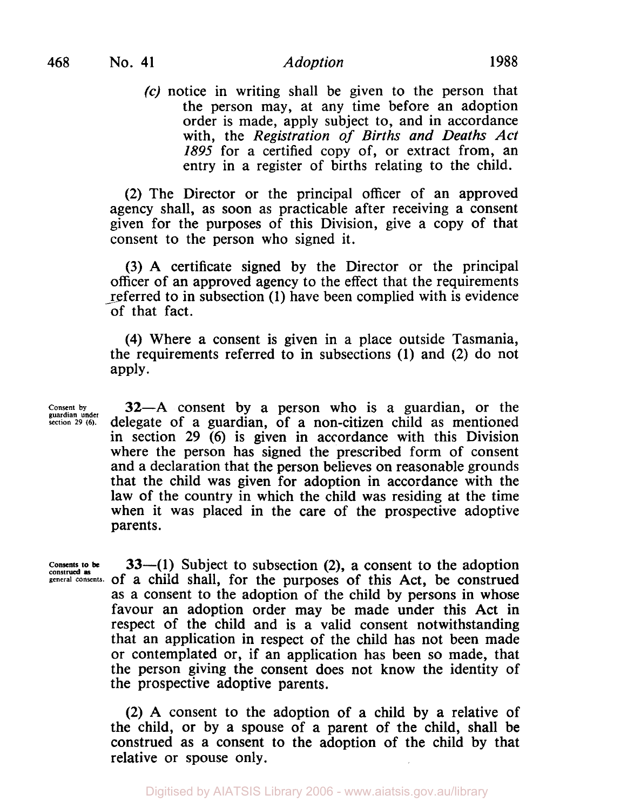**(c)** notice in writing shall be given to the person that the person may, at any time before an adoption order is made, apply subject to, and in accordance with, the *Registration of Births and Deaths Act 1895* for a certified copy of, or extract from, an entry in a register of births relating to the child.

**(2)** The Director or the principal officer of an approved agency shall, as soon as practicable after receiving a consent given for the purposes of this Division, give a copy of that consent to the person who signed it.

**(3) A** certificate signed by the Director or the principal officer of an approved agency to the effect that the requirements referred to in subsection **(1)** have been complied with is evidence of that fact.

(4) Where a consent is given in a place outside Tasmania, the requirements referred to in subsections **(1)** and **(2)** do not apply.

**Consent by guardian under section 29 (6).** 

**32-A** consent by a person who is a guardian, or the delegate of a guardian, of a non-citizen child as mentioned in section **29 (6)** is given in accordance with this Division where the person has signed the prescribed form of consent and a declaration that the person believes on reasonable grounds that the child was given for adoption in accordance with the law of the country in which the child was residing at the time when it was placed in the care of the prospective adoptive parents.

**Consents to be construed as** 

**33-(1)** Subject to subsection **(2),** a consent to the adoption **general consents.** of a child shall, for the purposes of this Act, be construed as a consent to the adoption of the child by persons in whose favour an adoption order may be made under this Act in respect of the child and is a valid consent notwithstanding that an application in respect of the child has not been made or contemplated or, if an application has been so made, that the person giving the consent does not know the identity of the prospective adoptive parents.

> **(2) A** consent to the adoption of a child by a relative of the child, or by a spouse of a parent of the child, shall be construed as a consent to the adoption of the child by that relative or spouse only.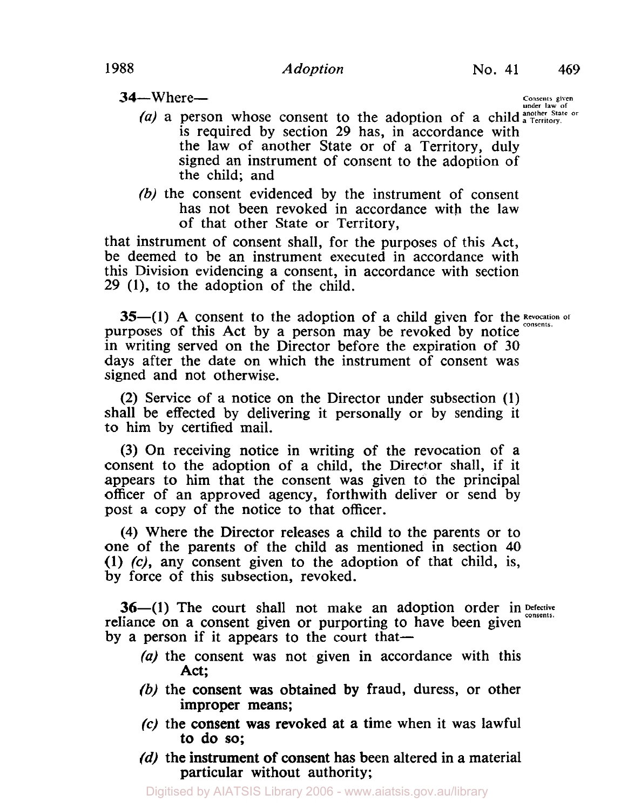**34-** Where-

**Consents given under law of** 

- (a) a person whose consent to the adoption of a child a Territory. is required by section **29**  has, in accordance with the law of another State or of a Territory, duly signed an instrument of consent to the adoption of the child; and
- (b) the consent evidenced by the instrument of consent has not been revoked in accordance with the law of that other State or Territory,

that instrument of consent shall, for the purposes of this Act, be deemed to be an instrument executed in accordance with this Division evidencing a consent, in accordance with section 29 **(l),** to the adoption of the child.

**35-(1)** A consent to the adoption of a child given for the *Revocation of* purposes of this Act by a person may be revoked by notice in writing served on the Director before the expiration of 30 days after the date on which the instrument of consent was signed and not otherwise.

(2) Service of a notice on the Director under subsection **(1)**  shall be effected by delivering it personally or by sending it to him by certified mail.

(3) On receiving notice in writing of the revocation of a consent to the adoption of a child, the Director shall, if it appears to him that the consent was given to the principal officer of an approved agency, forthwith deliver or send by post a copy of the notice to that officer.

**(4)** Where the Director releases a child to the parents or to one of the parents of the child as mentioned in section **40 (1) (c),** any consent given to the adoption of that child, is, by force of this subsection, revoked.

**36-(1)** The court shall not make an adoption order in Defective reliance on a consent given or purporting to have been given by a person if it appears to the court that-

- (a) the consent was not given in accordance with this Act;
- (b) the consent was obtained by fraud, duress, or other improper means;
- *(c)* the consent was revoked at **a** time when it was lawful to do so;
- (d) the instrument of consent has been altered in a material particular without authority;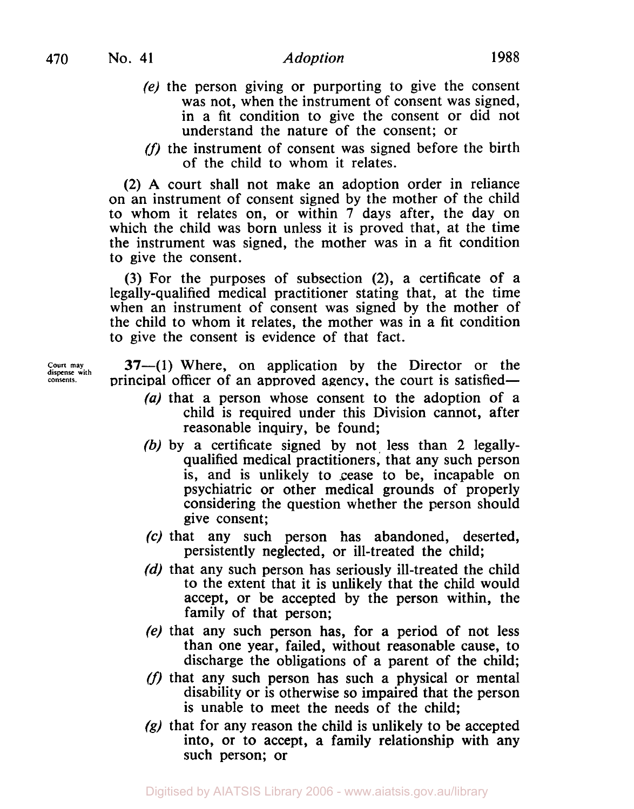- *(e)* the person giving or purporting to give the consent was not, when the instrument of consent was signed, in a fit condition to give the consent or did not understand the nature of the consent; or
- (f) the instrument of consent was signed before the birth of the child to whom it relates.

(2) **A** court shall not make an adoption order in reliance on an instrument of consent signed by the mother of the child to whom it relates on, or within **7** days after, the day on which the child was born unless it is proved that, at the time the instrument was signed, the mother was in a fit condition to give the consent.

**(3)** For the purposes of subsection **(2),** a certificate of a legally-qualified medical practitioner stating that, at the time when an instrument of consent was signed by the mother of the child to whom it relates, the mother was in a fit condition to give the consent is evidence of that fact.

**Court dispense may with 37-(1)** Where, on application by the Director or the **consents.** principal officer **of** an approved agency, the court is satisfied-

- *(a)* that a person whose consent to the adoption of a child is required under this Division cannot, after reasonable inquiry, be found;
- *(b)* by a certificate signed by not, **less** than **2** legallyqualified medical practitioners, that any such person is, and is unlikely to cease to be, incapable on psychiatric or other medical grounds of properly considering the question whether the person should give consent;
- **(c)** that any such person has abandoned, deserted, persistently neglected, or ill-treated the child;
- *(d)* that any such person has seriously ill-treated the child to the extent that it is unlikely that the child would accept, or be accepted by the person within, the family of that person;
- *(e)* that any such person has, for a period of not less than one year, failed, without reasonable cause, to discharge the obligations of a parent of the child;
- $(f)$  that any such person has such a physical or mental disability or is otherwise so impaired that the person is unable to meet the needs of the child;
- *(g)* that for any reason the child is unlikely to be accepted into, or to accept, a family relationship with any such person; or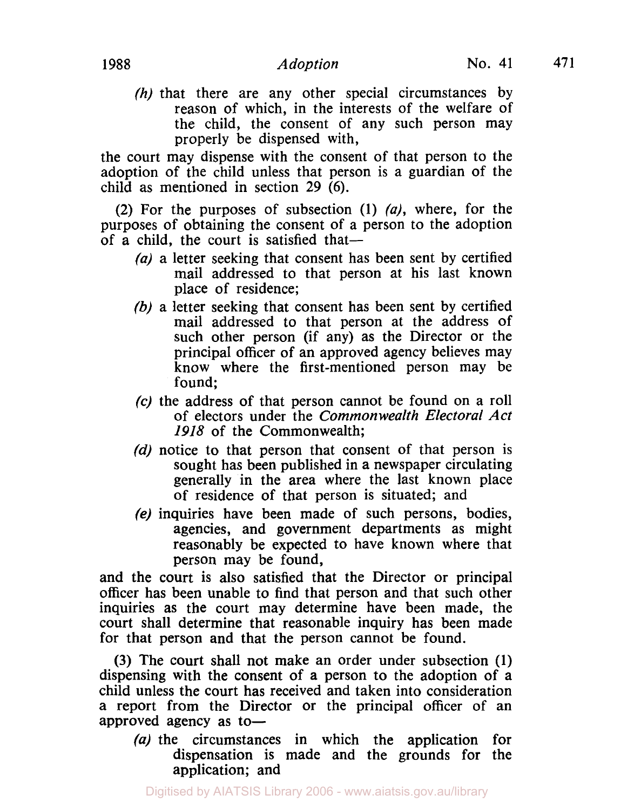*(h)* that there are any other special circumstances by reason of which, in the interests of the welfare of the child, the consent of any such person may properly be dispensed with,

the court may dispense with the consent of that person to the adoption of the child unless that person is a guardian of the child as mentioned in section **29 (6).** 

**(2)** For the purposes of subsection (1) *(a),* where, for the purposes of obtaining the consent of a person to the adoption of a child, the court is satisfied that-

- *(a)* a letter seeking that consent has been sent by certified mail addressed to that person at his last known place of residence;
- *(b)* a letter seeking that consent has been sent by certified mail addressed to that person at the address of such other person (if any) as the Director or the principal officer of an approved agency believes may know where the first-mentioned person may be found;
- **(c)** the address of that person cannot be found on a roll of electors under the *Common wealth Electoral Act I918* of the Commonwealth;
- *(d)* notice to that person that consent of that person is sought has been published in a newspaper circulating generally in the area where the last known place of residence of that person is situated; and
- **(e)** inquiries have been made of such persons, bodies, agencies, and government departments as might reasonably be expected to have known where that person may be found,

and the court is also satisfied that the Director or principal officer has been unable to find that person and that such other inquiries as the court may determine have been made, the court shall determine that reasonable inquiry has been made for that person and that the person cannot be found.

**(3)** The court shall not make an order under subsection (1) dispensing with the consent of a person to the adoption of a child unless the court has received and taken into consideration a report from the Director or the principal officer of an approved agency as to-

*(a)* the circumstances in which the application for dispensation is made and the grounds for the application; and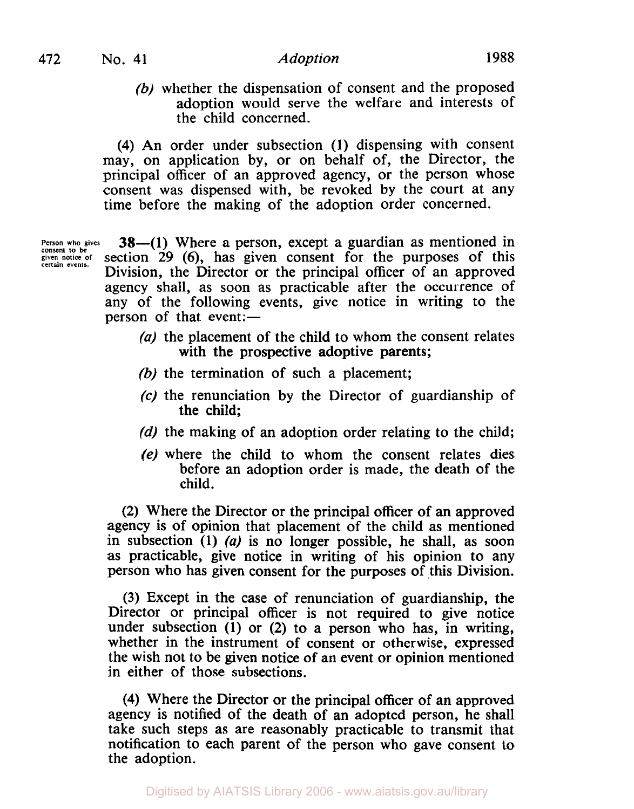(b) whether the dispensation of consent and the proposed adoption would serve the welfare and interests of the child concerned.

**(4)** An order under subsection (1) dispensing with consent may, on application by, or on behalf of, the Director, the principal officer of an approved agency, or the person whose consent was dispensed with, be revoked by the court at any time before the making of the adoption order concerned.

**Person who gives consent to be given notice of certain events.** 

**38**-(1) Where a person, except a guardian as mentioned in section 29 **(6),** has given consent for the purposes of this Division, the Director or the principal officer of an approved agency shall, as soon as practicable after the occurrence of any of the following events, give notice in writing to the person of that event:—

- (a) the placement of the child to whom the consent relates with the prospective adoptive parents;
- *(b)* the termination of such a placement;
- *(c)* the renunciation by the Director of guardianship of the child;
- (d) the making of an adoption order relating to the child;
- (e) where the child to whom the consent relates dies before an adoption order is made, the death of the child.

**(2)** Where the Director or the principal officer of an approved agency is of opinion that placement of the child as mentioned in subsection **(1)** *(a)* is no longer possible, he shall, as soon as practicable, give notice in writing of his opinion to any person who has given consent for the purposes of this Division.

(3) Except in the case of renunciation of guardianship, the Director or principal officer is not required to give notice under subsection **(1)** or **(2)** to a person who has, in writing, whether in the instrument of consent or otherwise, expressed the wish not to be given notice of an event or opinion mentioned in either of those subsections.

**(4)** Where the Director or the principal officer of an approved agency is notified of the death of an adopted person, he shall take such steps as are reasonably practicable to transmit that notification to each parent of the person who gave consent to the adoption.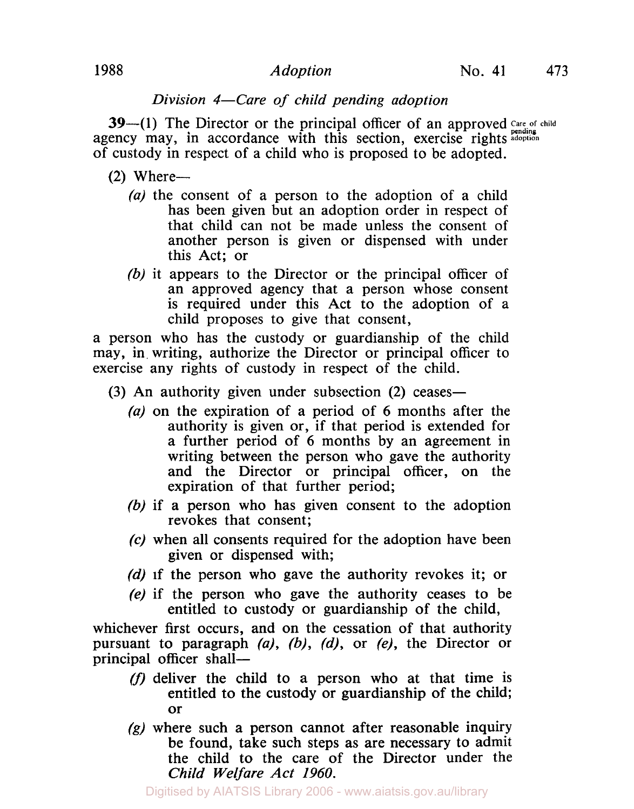# *Division 4-Care of child pending adoption*

**39-(1)** The Director or the principal officer of an approved Care of child agency may, in accordance with this section, exercise rights adoption of custody in respect of a child who is proposed to be adopted.

- $(2)$  Where-
	- *(a)* the consent of a person to the adoption of a child has been given but an adoption order in respect of that child can not be made unless the consent of another person is given or dispensed with under this Act; or
	- *(b)* it appears to the Director or the principal officer of an approved agency that a person whose consent is required under this Act to the adoption of a child proposes to give that consent,

a person who has the custody or guardianship of the child may, in. writing, authorize the Director or principal officer to exercise any rights of custody in respect of the child.

- **(3)** An authority given under subsection **(2)** ceases-
	- *(a)* on the expiration of a period of **6** months after the authority is given or, if that period is extended for a further period of **6** months by an agreement in writing between the person who gave the authority and the Director or principal officer, on the expiration of that further period;
	- *(b)* if a person who has given consent to the adoption revokes that consent;
	- *(c)* when all consents required for the adoption have been given or dispensed with;
	- *(d)* if the person who gave the authority revokes it; or
	- (e) if the person who gave the authority ceases to be entitled to custody or guardianship of the child,

whichever first occurs, and on the cessation of that authority pursuant to paragraph *(a), (b), (d),* or *(e),* the Director or principal officer shall-

- (f) deliver the child to a person who at that time is entitled to the custody or guardianship of the child; or
- **(g)** where such a person cannot after reasonable inquiry be found, take such steps as are necessary to admit the child to the care of the Director under the *Child Welfare Act I960.*